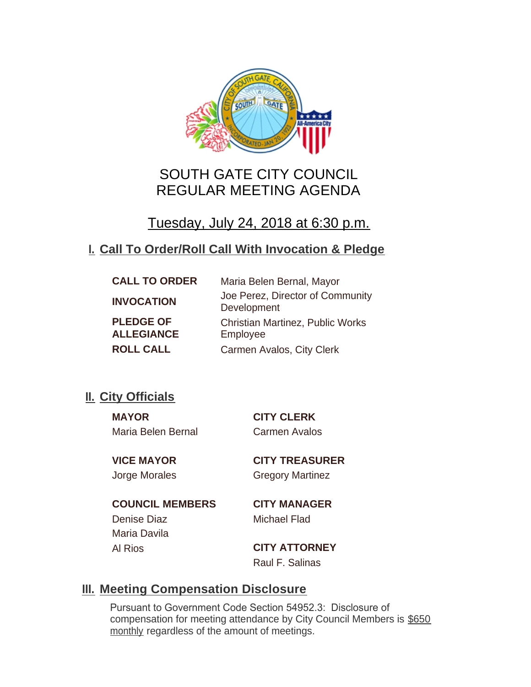

# SOUTH GATE CITY COUNCIL REGULAR MEETING AGENDA

Tuesday, July 24, 2018 at 6:30 p.m.

# **Call To Order/Roll Call With Invocation & Pledge I.**

| <b>CALL TO ORDER</b>                  | Maria Belen Bernal, Mayor                           |
|---------------------------------------|-----------------------------------------------------|
| <b>INVOCATION</b>                     | Joe Perez, Director of Community<br>Development     |
| <b>PLEDGE OF</b><br><b>ALLEGIANCE</b> | <b>Christian Martinez, Public Works</b><br>Employee |
| <b>ROLL CALL</b>                      | Carmen Avalos, City Clerk                           |

## **II.** City Officials

**MAYOR CITY CLERK** Maria Belen Bernal Carmen Avalos

**VICE MAYOR CITY TREASURER** Jorge Morales Gregory Martinez

**COUNCIL MEMBERS CITY MANAGER** Denise Diaz Michael Flad Maria Davila

Al Rios **CITY ATTORNEY** Raul F. Salinas

## **Meeting Compensation Disclosure III.**

Pursuant to Government Code Section 54952.3: Disclosure of compensation for meeting attendance by City Council Members is \$650 monthly regardless of the amount of meetings.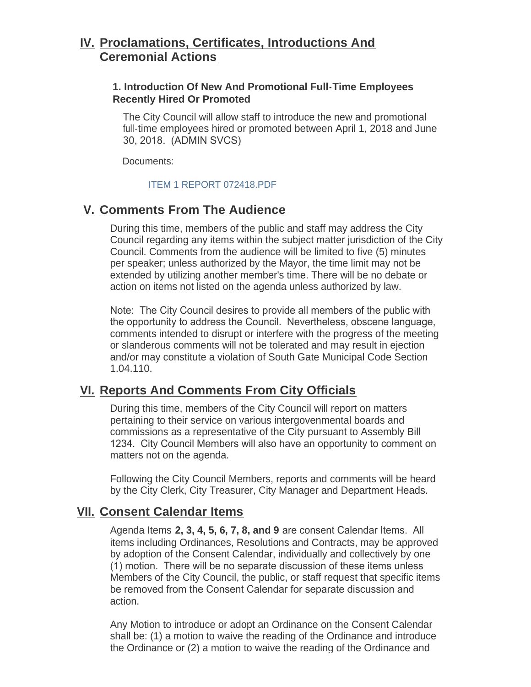## **Proclamations, Certificates, Introductions And IV. Ceremonial Actions**

## **1. Introduction Of New And Promotional Full-Time Employees Recently Hired Or Promoted**

The City Council will allow staff to introduce the new and promotional full-time employees hired or promoted between April 1, 2018 and June 30, 2018. (ADMIN SVCS)

Documents:

### [ITEM 1 REPORT 072418.PDF](http://www.cityofsouthgate.org/AgendaCenter/ViewFile/Item/6284?fileID=12666)

## **Comments From The Audience V.**

During this time, members of the public and staff may address the City Council regarding any items within the subject matter jurisdiction of the City Council. Comments from the audience will be limited to five (5) minutes per speaker; unless authorized by the Mayor, the time limit may not be extended by utilizing another member's time. There will be no debate or action on items not listed on the agenda unless authorized by law.

Note: The City Council desires to provide all members of the public with the opportunity to address the Council. Nevertheless, obscene language, comments intended to disrupt or interfere with the progress of the meeting or slanderous comments will not be tolerated and may result in ejection and/or may constitute a violation of South Gate Municipal Code Section 1.04.110.

## **Reports And Comments From City Officials VI.**

During this time, members of the City Council will report on matters pertaining to their service on various intergovenmental boards and commissions as a representative of the City pursuant to Assembly Bill 1234. City Council Members will also have an opportunity to comment on matters not on the agenda.

Following the City Council Members, reports and comments will be heard by the City Clerk, City Treasurer, City Manager and Department Heads.

## **Consent Calendar Items VII.**

Agenda Items **2, 3, 4, 5, 6, 7, 8, and 9** are consent Calendar Items. All items including Ordinances, Resolutions and Contracts, may be approved by adoption of the Consent Calendar, individually and collectively by one (1) motion. There will be no separate discussion of these items unless Members of the City Council, the public, or staff request that specific items be removed from the Consent Calendar for separate discussion and action.

Any Motion to introduce or adopt an Ordinance on the Consent Calendar shall be: (1) a motion to waive the reading of the Ordinance and introduce the Ordinance or (2) a motion to waive the reading of the Ordinance and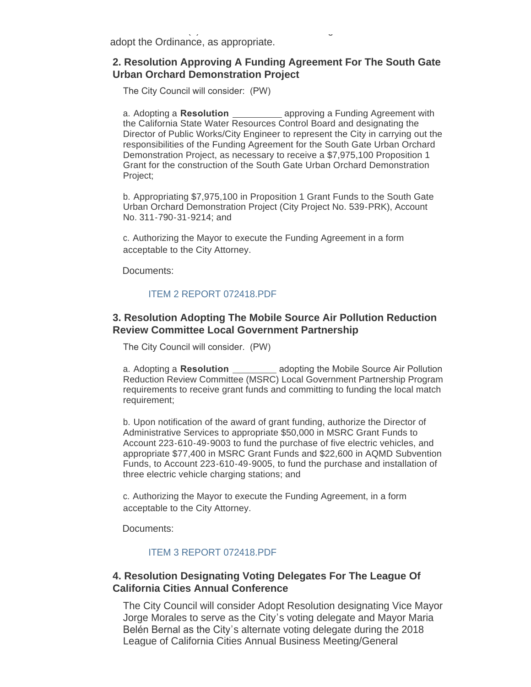adopt the Ordinance, as appropriate.

### **2. Resolution Approving A Funding Agreement For The South Gate Urban Orchard Demonstration Project**

 $\sim$  (2) a motion to waive the  $\sim$ 

The City Council will consider: (PW)

a. Adopting a **Resolution**  approving a Funding Agreement with the California State Water Resources Control Board and designating the Director of Public Works/City Engineer to represent the City in carrying out the responsibilities of the Funding Agreement for the South Gate Urban Orchard Demonstration Project, as necessary to receive a \$7,975,100 Proposition 1 Grant for the construction of the South Gate Urban Orchard Demonstration Project;

b. Appropriating \$7,975,100 in Proposition 1 Grant Funds to the South Gate Urban Orchard Demonstration Project (City Project No. 539-PRK), Account No. 311-790-31-9214; and

c. Authorizing the Mayor to execute the Funding Agreement in a form acceptable to the City Attorney.

Documents:

#### [ITEM 2 REPORT 072418.PDF](http://www.cityofsouthgate.org/AgendaCenter/ViewFile/Item/6300?fileID=12674)

### **3. Resolution Adopting The Mobile Source Air Pollution Reduction Review Committee Local Government Partnership**

The City Council will consider. (PW)

a. Adopting a **Resolution**  adopting the Mobile Source Air Pollution Reduction Review Committee (MSRC) Local Government Partnership Program requirements to receive grant funds and committing to funding the local match requirement;

b. Upon notification of the award of grant funding, authorize the Director of Administrative Services to appropriate \$50,000 in MSRC Grant Funds to Account 223-610-49-9003 to fund the purchase of five electric vehicles, and appropriate \$77,400 in MSRC Grant Funds and \$22,600 in AQMD Subvention Funds, to Account 223-610-49-9005, to fund the purchase and installation of three electric vehicle charging stations; and

c. Authorizing the Mayor to execute the Funding Agreement, in a form acceptable to the City Attorney.

Documents:

#### [ITEM 3 REPORT 072418.PDF](http://www.cityofsouthgate.org/AgendaCenter/ViewFile/Item/6286?fileID=12677)

#### **4. Resolution Designating Voting Delegates For The League Of California Cities Annual Conference**

The City Council will consider Adopt Resolution designating Vice Mayor Jorge Morales to serve as the City's voting delegate and Mayor Maria Belén Bernal as the City's alternate voting delegate during the 2018 League of California Cities Annual Business Meeting/General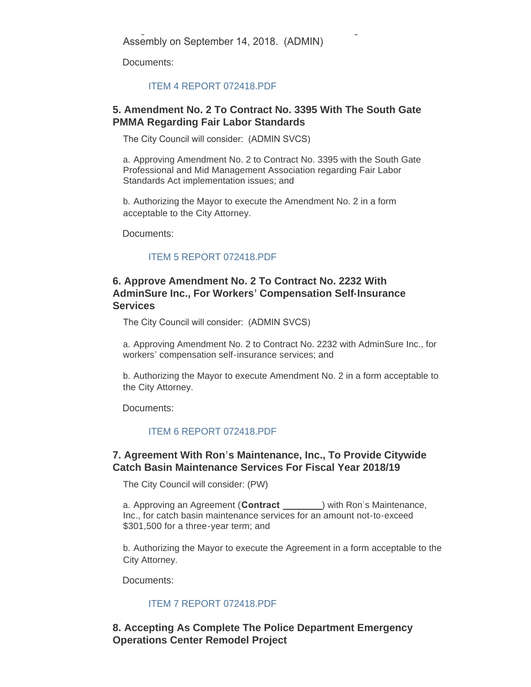Documents:

#### [ITEM 4 REPORT 072418.PDF](http://www.cityofsouthgate.org/AgendaCenter/ViewFile/Item/6287?fileID=12667)

### **5. Amendment No. 2 To Contract No. 3395 With The South Gate PMMA Regarding Fair Labor Standards**

The City Council will consider: (ADMIN SVCS)

a. Approving Amendment No. 2 to Contract No. 3395 with the South Gate Professional and Mid Management Association regarding Fair Labor Standards Act implementation issues; and

b. Authorizing the Mayor to execute the Amendment No. 2 in a form acceptable to the City Attorney.

Documents:

#### [ITEM 5 REPORT 072418.PDF](http://www.cityofsouthgate.org/AgendaCenter/ViewFile/Item/6288?fileID=12678)

### **6. Approve Amendment No. 2 To Contract No. 2232 With AdminSure Inc., For Workers' Compensation Self-Insurance Services**

The City Council will consider: (ADMIN SVCS)

a. Approving Amendment No. 2 to Contract No. 2232 with AdminSure Inc., for workers' compensation self-insurance services; and

b. Authorizing the Mayor to execute Amendment No. 2 in a form acceptable to the City Attorney.

Documents:

#### [ITEM 6 REPORT 072418.PDF](http://www.cityofsouthgate.org/AgendaCenter/ViewFile/Item/6289?fileID=12669)

### **7. Agreement With Ron's Maintenance, Inc., To Provide Citywide Catch Basin Maintenance Services For Fiscal Year 2018/19**

The City Council will consider: (PW)

a. Approving an Agreement (**Contract** \_\_\_\_\_\_\_\_) with Ron's Maintenance, Inc., for catch basin maintenance services for an amount not-to-exceed \$301,500 for a three-year term; and

b. Authorizing the Mayor to execute the Agreement in a form acceptable to the City Attorney.

Documents:

#### [ITEM 7 REPORT 072418.PDF](http://www.cityofsouthgate.org/AgendaCenter/ViewFile/Item/6290?fileID=12675)

### **8. Accepting As Complete The Police Department Emergency Operations Center Remodel Project**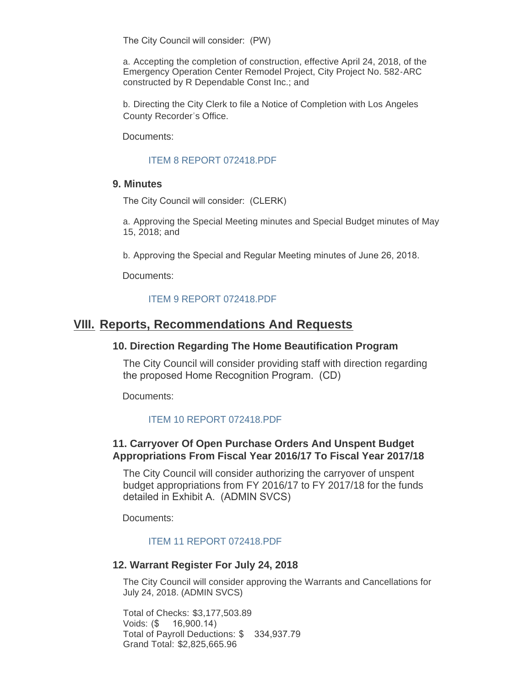The City Council will consider: (PW)

a. Accepting the completion of construction, effective April 24, 2018, of the Emergency Operation Center Remodel Project, City Project No. 582-ARC constructed by R Dependable Const Inc.; and

b. Directing the City Clerk to file a Notice of Completion with Los Angeles County Recorder's Office.

Documents:

#### [ITEM 8 REPORT 072418.PDF](http://www.cityofsouthgate.org/AgendaCenter/ViewFile/Item/6291?fileID=12676)

#### **9. Minutes**

The City Council will consider: (CLERK)

a. Approving the Special Meeting minutes and Special Budget minutes of May 15, 2018; and

b. Approving the Special and Regular Meeting minutes of June 26, 2018.

Documents:

#### [ITEM 9 REPORT 072418.PDF](http://www.cityofsouthgate.org/AgendaCenter/ViewFile/Item/6292?fileID=12670)

## **Reports, Recommendations And Requests VIII.**

#### **10. Direction Regarding The Home Beautification Program**

The City Council will consider providing staff with direction regarding the proposed Home Recognition Program. (CD)

Documents:

#### [ITEM 10 REPORT 072418.PDF](http://www.cityofsouthgate.org/AgendaCenter/ViewFile/Item/6293?fileID=12671)

## **11. Carryover Of Open Purchase Orders And Unspent Budget Appropriations From Fiscal Year 2016/17 To Fiscal Year 2017/18**

The City Council will consider authorizing the carryover of unspent budget appropriations from FY 2016/17 to FY 2017/18 for the funds detailed in Exhibit A. (ADMIN SVCS)

Documents:

#### [ITEM 11 REPORT 072418.PDF](http://www.cityofsouthgate.org/AgendaCenter/ViewFile/Item/6294?fileID=12672)

#### **12. Warrant Register For July 24, 2018**

The City Council will consider approving the Warrants and Cancellations for July 24, 2018. (ADMIN SVCS)

Total of Checks: \$3,177,503.89 Voids: (\$ 16,900.14) Total of Payroll Deductions: \$ 334,937.79 Grand Total: \$2,825,665.96